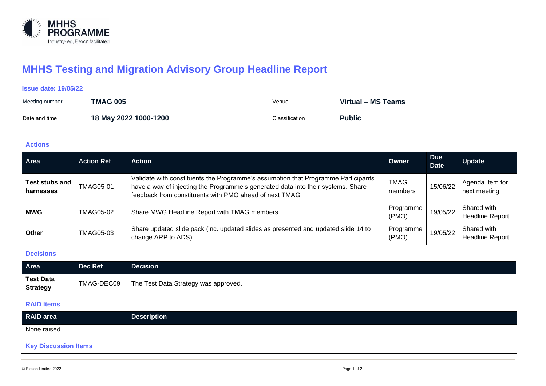

# **MHHS Testing and Migration Advisory Group Headline Report**

## **Issue date: 19/05/22**

| Meeting number | <b>TMAG 005</b>       | Venue          | Virtual - MS Teams |
|----------------|-----------------------|----------------|--------------------|
| Date and time  | 18 May 2022 1000-1200 | Classification | <b>Public</b>      |

## **Actions**

| <b>Area</b>                 | <b>Action Ref</b> | <b>Action</b>                                                                                                                                                                                                                   | Owner                  | <b>Due</b><br><b>Date</b> | <b>Update</b>                         |
|-----------------------------|-------------------|---------------------------------------------------------------------------------------------------------------------------------------------------------------------------------------------------------------------------------|------------------------|---------------------------|---------------------------------------|
| Test stubs and<br>harnesses | <b>TMAG05-01</b>  | Validate with constituents the Programme's assumption that Programme Participants<br>have a way of injecting the Programme's generated data into their systems. Share<br>feedback from constituents with PMO ahead of next TMAG | <b>TMAG</b><br>members | 15/06/22                  | Agenda item for<br>next meeting       |
| <b>MWG</b>                  | <b>TMAG05-02</b>  | Share MWG Headline Report with TMAG members                                                                                                                                                                                     | Programme<br>(PMO)     | 19/05/22                  | Shared with<br><b>Headline Report</b> |
| Other                       | <b>TMAG05-03</b>  | Share updated slide pack (inc. updated slides as presented and updated slide 14 to<br>change ARP to ADS)                                                                                                                        | Programme<br>(PMO)     | 19/05/22                  | Shared with<br><b>Headline Report</b> |

# **Decisions**

| Area                                | Dec Ref    | Decision $^{\shortparallel}$         |
|-------------------------------------|------------|--------------------------------------|
| <b>Test Data</b><br><b>Strategy</b> | TMAG-DEC09 | The Test Data Strategy was approved. |

#### **RAID Items**

| RAID area   | <b>Description</b> |
|-------------|--------------------|
| None raised |                    |
| . .         |                    |

### **Key Discussion Items**